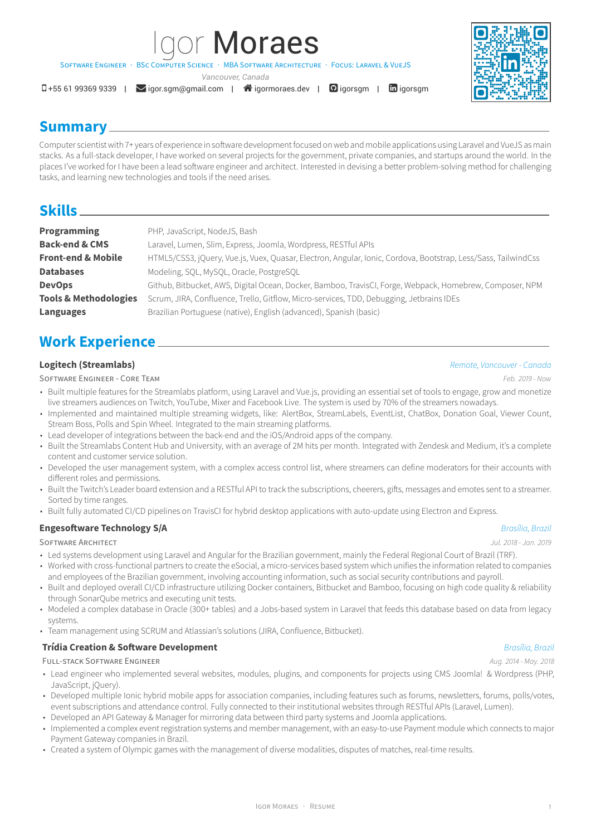*Vancouver, Canada*

SOFTWARE ENGINEER : BSC COMPUTER SCIENCE : MBA SOFTWARE ARCHITECTUR

 $\Box$ +55 61 99369 9339 |  $\Box$ [igor.sgm@gmail.com](mailto:igor.sgm@gmail.com) |  $\triangleq$ [igormoraes.dev](http://igormoraes.dev) |  $\Box$ [igorsgm](https://www.linkedin.com/in/igorsgm) |  $\Box$ igorsgm

## **Summary**

Computer scientist with 7+ years of experience in software development focused on web and mobile applications using Laravel and VueJS as main stacks. As a full-stack developer, I have worked on several projects for the government, private companies, and startups around the world. In the places I've worked for I have been a lead software engineer and architect. Interested in devising a better problem-solving method for challenging tasks, and learning new technologies and tools if the need arises.

**MBA SOFTWARE ARCHITECTURE · FOCUS: LARAVEL & VUE IS** 

## **Skills**

| <b>Programming</b>               | PHP, JavaScript, NodeJS, Bash                                                                                  |
|----------------------------------|----------------------------------------------------------------------------------------------------------------|
| <b>Back-end &amp; CMS</b>        | Laravel, Lumen, Slim, Express, Joomla, Wordpress, RESTful APIs                                                 |
| <b>Front-end &amp; Mobile</b>    | HTML5/CSS3, jQuery, Vue.js, Vuex, Quasar, Electron, Angular, Ionic, Cordova, Bootstrap, Less/Sass, TailwindCss |
| <b>Databases</b>                 | Modeling, SQL, MySQL, Oracle, PostgreSQL                                                                       |
| <b>DevOps</b>                    | Github, Bitbucket, AWS, Digital Ocean, Docker, Bamboo, TravisCI, Forge, Webpack, Homebrew, Composer, NPM       |
| <b>Tools &amp; Methodologies</b> | Scrum, JIRA, Confluence, Trello, Gitflow, Micro-services, TDD, Debugging, Jetbrains IDEs                       |
| <b>Languages</b>                 | Brazilian Portuguese (native), English (advanced), Spanish (basic)                                             |

## **Work Experience**

SOFTWARE ENGINEER - CORE TEAM *Feb. 2019 - Now*

- Built multiple features for the Streamlabs platform, using Laravel and Vue.js, providing an essential set of tools to engage, grow and monetize live streamers audiences on Twitch, YouTube, Mixer and Facebook Live. The system is used by 70% of the streamers nowadays.
- Implemented and maintained multiple streaming widgets, like: AlertBox, StreamLabels, EventList, ChatBox, Donation Goal, Viewer Count, Stream Boss, Polls and Spin Wheel. Integrated to the main streaming platforms.
- Lead developer of integrations between the back-end and the iOS/Android apps of the company.
- Built the Streamlabs Content Hub and University, with an average of 2M hits per month. Integrated with Zendesk and Medium, it's a complete content and customer service solution.
- Developed the user management system, with a complex access control list, where streamers can define moderators for their accounts with different roles and permissions.
- Built the Twitch's Leader board extension and a RESTful API to track the subscriptions, cheerers, gifts, messages and emotes sent to a streamer. Sorted by time ranges.
- Built fully automated CI/CD pipelines on TravisCI for hybrid desktop applications with auto-update using Electron and Express.

## **Engesoftware Technology S/A** *Brasília, Brazil*

- Led systems development using Laravel and Angular for the Brazilian government, mainly the Federal Regional Court of Brazil (TRF). • Worked with cross-functional partners to create the eSocial, a micro-services based system which unifies the information related to companies
- and employees of the Brazilian government, involving accounting information, such as social security contributions and payroll.
- Built and deployed overall CI/CD infrastructure utilizing Docker containers, Bitbucket and Bamboo, focusing on high code quality & reliability through SonarQube metrics and executing unit tests.
- Modeled a complex database in Oracle (300+ tables) and a Jobs-based system in Laravel that feeds this database based on data from legacy systems.
- Team management using SCRUM and Atlassian's solutions (JIRA, Confluence, Bitbucket).

## **Trídia Creation & Software Development** *Brasília, Brazil*

FULL-STACK SOFTWARE ENGINEER *Aug. 2014 - May. 2018*

- Lead engineer who implemented several websites, modules, plugins, and components for projects using CMS Joomla! & Wordpress (PHP, JavaScript, jQuery).
- Developed multiple Ionic hybrid mobile apps for association companies, including features such as forums, newsletters, forums, polls/votes, event subscriptions and attendance control. Fully connected to their institutional websites through RESTful APIs (Laravel, Lumen).
- Developed an API Gateway & Manager for mirroring data between third party systems and Joomla applications.
- Implemented a complex event registration systems and member management, with an easy-to-use Payment module which connects to major Payment Gateway companies in Brazil.
- Created a system of Olympic games with the management of diverse modalities, disputes of matches, real-time results.

### **Logitech (Streamlabs)** *Remote, Vancouver - Canada*

# SOFTWARE ARCHITECT *Jul. 2018 - Jan. 2019*